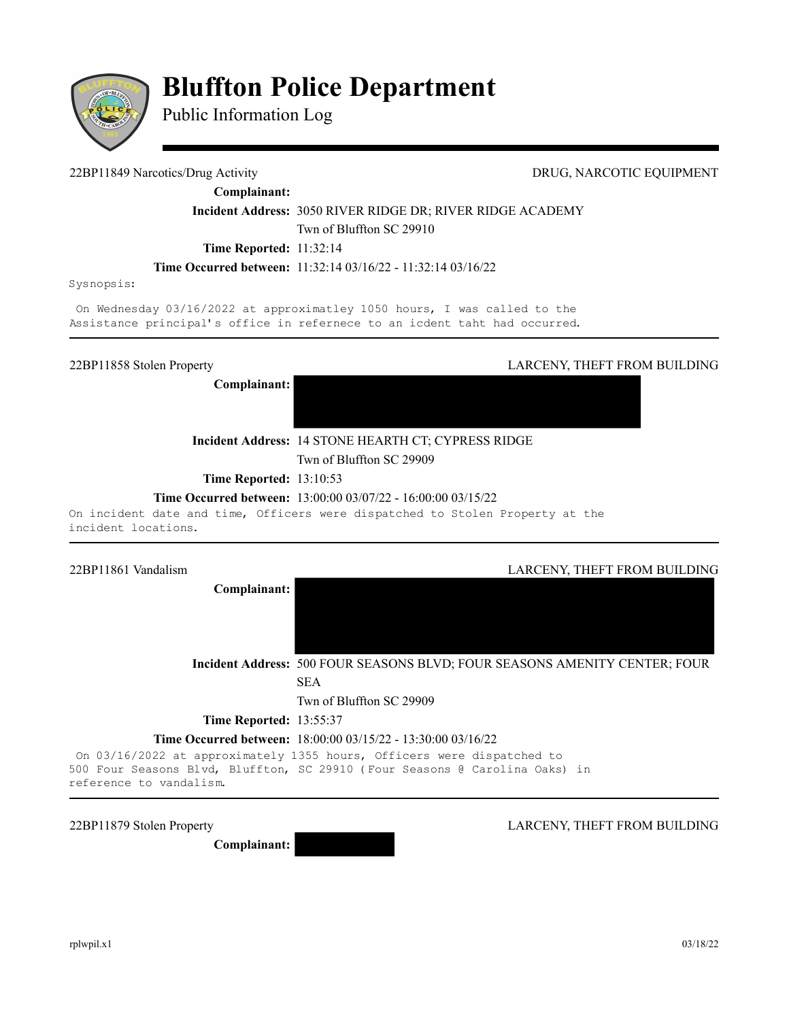

# **Bluffton Police Department**

Public Information Log

#### 22BP11849 Narcotics/Drug Activity DRUG, NARCOTIC EQUIPMENT

**Complainant:** 

**Incident Address:** 3050 RIVER RIDGE DR; RIVER RIDGE ACADEMY Twn of Bluffton SC 29910

**Time Reported:** 11:32:14

**Time Occurred between:** 11:32:14 03/16/22 - 11:32:14 03/16/22

Sysnopsis:

On Wednesday 03/16/2022 at approximatley 1050 hours, I was called to the Assistance principal's office in refernece to an icdent taht had occurred.

**Complainant:** 

22BP11858 Stolen Property LARCENY, THEFT FROM BUILDING

**Incident Address:** 14 STONE HEARTH CT; CYPRESS RIDGE Twn of Bluffton SC 29909

**Time Reported:** 13:10:53

**Time Occurred between:** 13:00:00 03/07/22 - 16:00:00 03/15/22

On incident date and time, Officers were dispatched to Stolen Property at the incident locations.